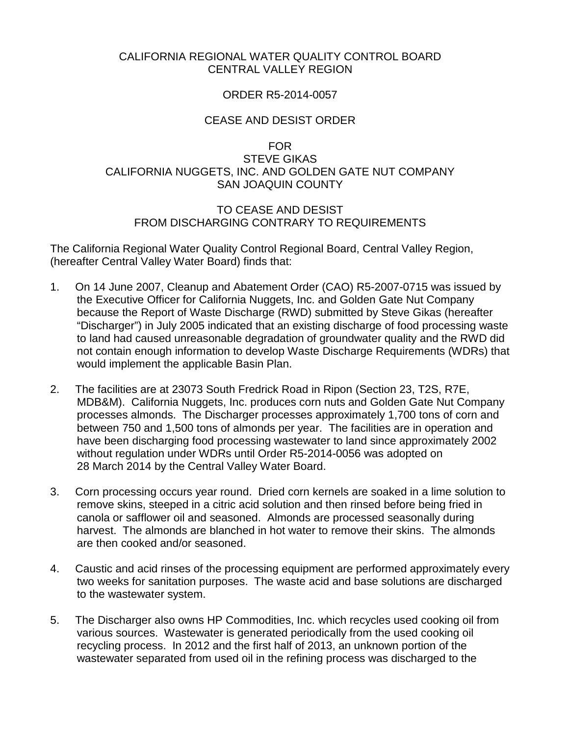## CALIFORNIA REGIONAL WATER QUALITY CONTROL BOARD CENTRAL VALLEY REGION

## ORDER R5-2014-0057

### CEASE AND DESIST ORDER

## FOR

# STEVE GIKAS CALIFORNIA NUGGETS, INC. AND GOLDEN GATE NUT COMPANY SAN JOAQUIN COUNTY

#### TO CEASE AND DESIST FROM DISCHARGING CONTRARY TO REQUIREMENTS

The California Regional Water Quality Control Regional Board, Central Valley Region, (hereafter Central Valley Water Board) finds that:

- 1. On 14 June 2007, Cleanup and Abatement Order (CAO) R5-2007-0715 was issued by the Executive Officer for California Nuggets, Inc. and Golden Gate Nut Company because the Report of Waste Discharge (RWD) submitted by Steve Gikas (hereafter "Discharger") in July 2005 indicated that an existing discharge of food processing waste to land had caused unreasonable degradation of groundwater quality and the RWD did not contain enough information to develop Waste Discharge Requirements (WDRs) that would implement the applicable Basin Plan.
- 2. The facilities are at 23073 South Fredrick Road in Ripon (Section 23, T2S, R7E, MDB&M). California Nuggets, Inc. produces corn nuts and Golden Gate Nut Company processes almonds. The Discharger processes approximately 1,700 tons of corn and between 750 and 1,500 tons of almonds per year. The facilities are in operation and have been discharging food processing wastewater to land since approximately 2002 without regulation under WDRs until Order R5-2014-0056 was adopted on 28 March 2014 by the Central Valley Water Board.
- 3. Corn processing occurs year round. Dried corn kernels are soaked in a lime solution to remove skins, steeped in a citric acid solution and then rinsed before being fried in canola or safflower oil and seasoned. Almonds are processed seasonally during harvest. The almonds are blanched in hot water to remove their skins. The almonds are then cooked and/or seasoned.
- 4. Caustic and acid rinses of the processing equipment are performed approximately every two weeks for sanitation purposes. The waste acid and base solutions are discharged to the wastewater system.
- 5. The Discharger also owns HP Commodities, Inc. which recycles used cooking oil from various sources. Wastewater is generated periodically from the used cooking oil recycling process. In 2012 and the first half of 2013, an unknown portion of the wastewater separated from used oil in the refining process was discharged to the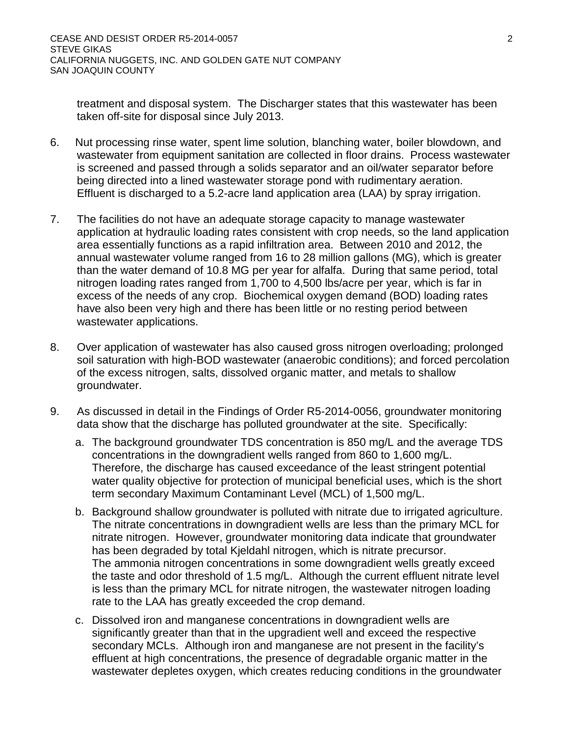treatment and disposal system. The Discharger states that this wastewater has been taken off-site for disposal since July 2013.

- 6. Nut processing rinse water, spent lime solution, blanching water, boiler blowdown, and wastewater from equipment sanitation are collected in floor drains. Process wastewater is screened and passed through a solids separator and an oil/water separator before being directed into a lined wastewater storage pond with rudimentary aeration. Effluent is discharged to a 5.2-acre land application area (LAA) by spray irrigation.
- 7. The facilities do not have an adequate storage capacity to manage wastewater application at hydraulic loading rates consistent with crop needs, so the land application area essentially functions as a rapid infiltration area. Between 2010 and 2012, the annual wastewater volume ranged from 16 to 28 million gallons (MG), which is greater than the water demand of 10.8 MG per year for alfalfa. During that same period, total nitrogen loading rates ranged from 1,700 to 4,500 lbs/acre per year, which is far in excess of the needs of any crop. Biochemical oxygen demand (BOD) loading rates have also been very high and there has been little or no resting period between wastewater applications.
- 8. Over application of wastewater has also caused gross nitrogen overloading; prolonged soil saturation with high-BOD wastewater (anaerobic conditions); and forced percolation of the excess nitrogen, salts, dissolved organic matter, and metals to shallow groundwater.
- 9. As discussed in detail in the Findings of Order R5-2014-0056, groundwater monitoring data show that the discharge has polluted groundwater at the site. Specifically:
	- a. The background groundwater TDS concentration is 850 mg/L and the average TDS concentrations in the downgradient wells ranged from 860 to 1,600 mg/L. Therefore, the discharge has caused exceedance of the least stringent potential water quality objective for protection of municipal beneficial uses, which is the short term secondary Maximum Contaminant Level (MCL) of 1,500 mg/L.
	- b. Background shallow groundwater is polluted with nitrate due to irrigated agriculture. The nitrate concentrations in downgradient wells are less than the primary MCL for nitrate nitrogen. However, groundwater monitoring data indicate that groundwater has been degraded by total Kjeldahl nitrogen, which is nitrate precursor. The ammonia nitrogen concentrations in some downgradient wells greatly exceed the taste and odor threshold of 1.5 mg/L. Although the current effluent nitrate level is less than the primary MCL for nitrate nitrogen, the wastewater nitrogen loading rate to the LAA has greatly exceeded the crop demand.
	- c. Dissolved iron and manganese concentrations in downgradient wells are significantly greater than that in the upgradient well and exceed the respective secondary MCLs. Although iron and manganese are not present in the facility's effluent at high concentrations, the presence of degradable organic matter in the wastewater depletes oxygen, which creates reducing conditions in the groundwater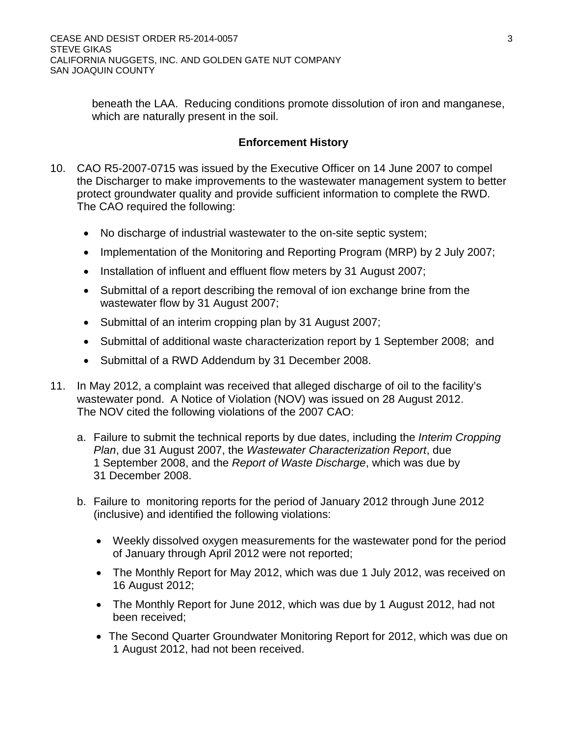beneath the LAA. Reducing conditions promote dissolution of iron and manganese, which are naturally present in the soil.

## **Enforcement History**

- 10. CAO R5-2007-0715 was issued by the Executive Officer on 14 June 2007 to compel the Discharger to make improvements to the wastewater management system to better protect groundwater quality and provide sufficient information to complete the RWD. The CAO required the following:
	- No discharge of industrial wastewater to the on-site septic system;
	- Implementation of the Monitoring and Reporting Program (MRP) by 2 July 2007;
	- Installation of influent and effluent flow meters by 31 August 2007;
	- Submittal of a report describing the removal of ion exchange brine from the wastewater flow by 31 August 2007;
	- Submittal of an interim cropping plan by 31 August 2007;
	- Submittal of additional waste characterization report by 1 September 2008; and
	- Submittal of a RWD Addendum by 31 December 2008.
- 11. In May 2012, a complaint was received that alleged discharge of oil to the facility's wastewater pond. A Notice of Violation (NOV) was issued on 28 August 2012. The NOV cited the following violations of the 2007 CAO:
	- a. Failure to submit the technical reports by due dates, including the *Interim Cropping Plan*, due 31 August 2007, the *Wastewater Characterization Report*, due 1 September 2008, and the *Report of Waste Discharge*, which was due by 31 December 2008.
	- b. Failure to monitoring reports for the period of January 2012 through June 2012 (inclusive) and identified the following violations:
		- Weekly dissolved oxygen measurements for the wastewater pond for the period of January through April 2012 were not reported;
		- The Monthly Report for May 2012, which was due 1 July 2012, was received on 16 August 2012;
		- The Monthly Report for June 2012, which was due by 1 August 2012, had not been received;
		- The Second Quarter Groundwater Monitoring Report for 2012, which was due on 1 August 2012, had not been received.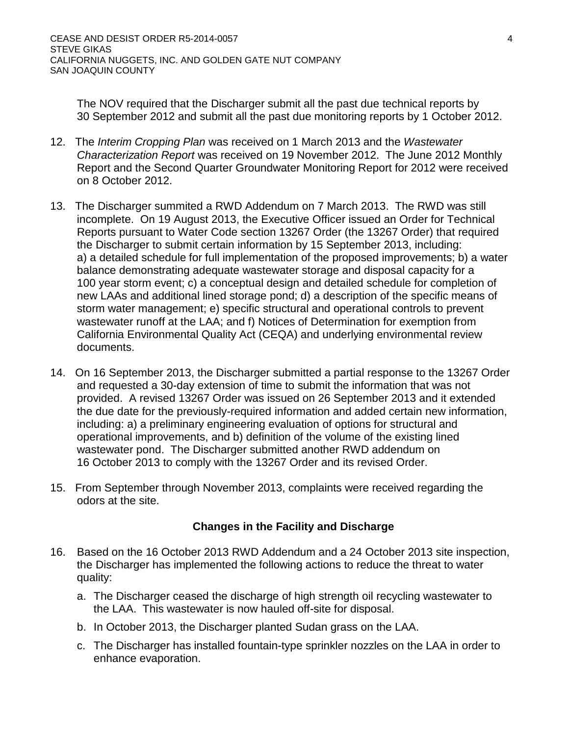The NOV required that the Discharger submit all the past due technical reports by 30 September 2012 and submit all the past due monitoring reports by 1 October 2012.

- 12. The *Interim Cropping Plan* was received on 1 March 2013 and the *Wastewater Characterization Report* was received on 19 November 2012. The June 2012 Monthly Report and the Second Quarter Groundwater Monitoring Report for 2012 were received on 8 October 2012.
- 13. The Discharger summited a RWD Addendum on 7 March 2013. The RWD was still incomplete. On 19 August 2013, the Executive Officer issued an Order for Technical Reports pursuant to Water Code section 13267 Order (the 13267 Order) that required the Discharger to submit certain information by 15 September 2013, including: a) a detailed schedule for full implementation of the proposed improvements; b) a water balance demonstrating adequate wastewater storage and disposal capacity for a 100 year storm event; c) a conceptual design and detailed schedule for completion of new LAAs and additional lined storage pond; d) a description of the specific means of storm water management; e) specific structural and operational controls to prevent wastewater runoff at the LAA; and f) Notices of Determination for exemption from California Environmental Quality Act (CEQA) and underlying environmental review documents.
- 14. On 16 September 2013, the Discharger submitted a partial response to the 13267 Order and requested a 30-day extension of time to submit the information that was not provided. A revised 13267 Order was issued on 26 September 2013 and it extended the due date for the previously-required information and added certain new information, including: a) a preliminary engineering evaluation of options for structural and operational improvements, and b) definition of the volume of the existing lined wastewater pond. The Discharger submitted another RWD addendum on 16 October 2013 to comply with the 13267 Order and its revised Order.
- 15. From September through November 2013, complaints were received regarding the odors at the site.

## **Changes in the Facility and Discharge**

- 16. Based on the 16 October 2013 RWD Addendum and a 24 October 2013 site inspection, the Discharger has implemented the following actions to reduce the threat to water quality:
	- a. The Discharger ceased the discharge of high strength oil recycling wastewater to the LAA. This wastewater is now hauled off-site for disposal.
	- b. In October 2013, the Discharger planted Sudan grass on the LAA.
	- c. The Discharger has installed fountain-type sprinkler nozzles on the LAA in order to enhance evaporation.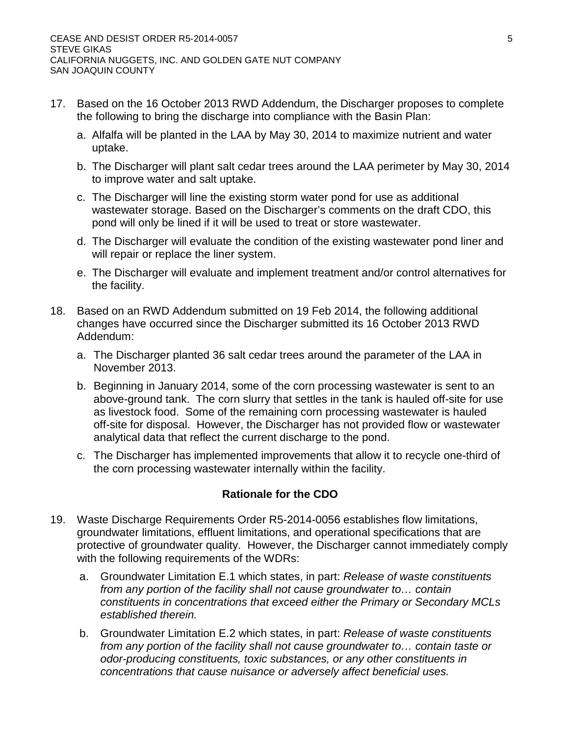- 17. Based on the 16 October 2013 RWD Addendum, the Discharger proposes to complete the following to bring the discharge into compliance with the Basin Plan:
	- a. Alfalfa will be planted in the LAA by May 30, 2014 to maximize nutrient and water uptake.
	- b. The Discharger will plant salt cedar trees around the LAA perimeter by May 30, 2014 to improve water and salt uptake.
	- c. The Discharger will line the existing storm water pond for use as additional wastewater storage. Based on the Discharger's comments on the draft CDO, this pond will only be lined if it will be used to treat or store wastewater.
	- d. The Discharger will evaluate the condition of the existing wastewater pond liner and will repair or replace the liner system.
	- e. The Discharger will evaluate and implement treatment and/or control alternatives for the facility.
- 18. Based on an RWD Addendum submitted on 19 Feb 2014, the following additional changes have occurred since the Discharger submitted its 16 October 2013 RWD Addendum:
	- a. The Discharger planted 36 salt cedar trees around the parameter of the LAA in November 2013.
	- b. Beginning in January 2014, some of the corn processing wastewater is sent to an above-ground tank. The corn slurry that settles in the tank is hauled off-site for use as livestock food. Some of the remaining corn processing wastewater is hauled off-site for disposal. However, the Discharger has not provided flow or wastewater analytical data that reflect the current discharge to the pond.
	- c. The Discharger has implemented improvements that allow it to recycle one-third of the corn processing wastewater internally within the facility.

## **Rationale for the CDO**

- 19. Waste Discharge Requirements Order R5-2014-0056 establishes flow limitations, groundwater limitations, effluent limitations, and operational specifications that are protective of groundwater quality. However, the Discharger cannot immediately comply with the following requirements of the WDRs:
	- a. Groundwater Limitation E.1 which states, in part: *Release of waste constituents from any portion of the facility shall not cause groundwater to… contain constituents in concentrations that exceed either the Primary or Secondary MCLs established therein.*
	- b. Groundwater Limitation E.2 which states, in part: *Release of waste constituents from any portion of the facility shall not cause groundwater to… contain taste or odor-producing constituents, toxic substances, or any other constituents in concentrations that cause nuisance or adversely affect beneficial uses.*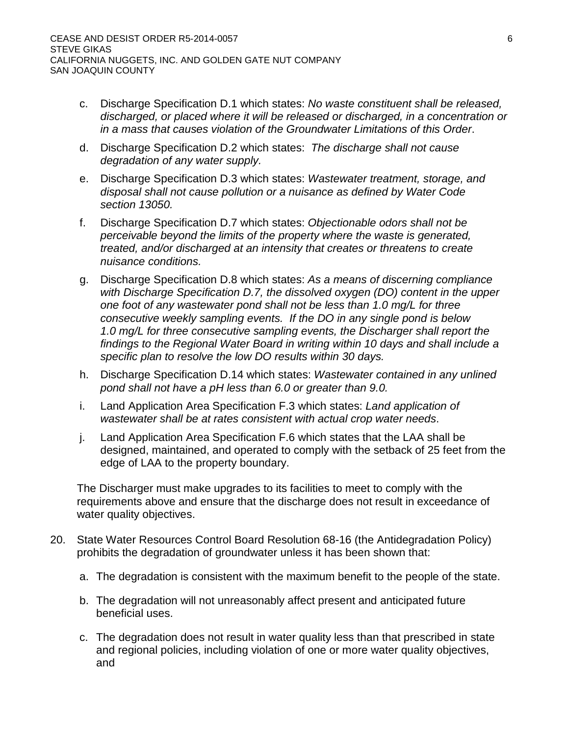- c. Discharge Specification D.1 which states: *No waste constituent shall be released, discharged, or placed where it will be released or discharged, in a concentration or in a mass that causes violation of the Groundwater Limitations of this Order*.
- d. Discharge Specification D.2 which states: *The discharge shall not cause degradation of any water supply.*
- e. Discharge Specification D.3 which states: *Wastewater treatment, storage, and disposal shall not cause pollution or a nuisance as defined by Water Code section 13050.*
- f. Discharge Specification D.7 which states: *Objectionable odors shall not be perceivable beyond the limits of the property where the waste is generated, treated, and/or discharged at an intensity that creates or threatens to create nuisance conditions.*
- g. Discharge Specification D.8 which states: *As a means of discerning compliance with Discharge Specification D.7, the dissolved oxygen (DO) content in the upper one foot of any wastewater pond shall not be less than 1.0 mg/L for three consecutive weekly sampling events. If the DO in any single pond is below 1.0 mg/L for three consecutive sampling events, the Discharger shall report the findings to the Regional Water Board in writing within 10 days and shall include a specific plan to resolve the low DO results within 30 days.*
- h. Discharge Specification D.14 which states: *Wastewater contained in any unlined pond shall not have a pH less than 6.0 or greater than 9.0.*
- i. Land Application Area Specification F.3 which states: *Land application of wastewater shall be at rates consistent with actual crop water needs*.
- j. Land Application Area Specification F.6 which states that the LAA shall be designed, maintained, and operated to comply with the setback of 25 feet from the edge of LAA to the property boundary.

The Discharger must make upgrades to its facilities to meet to comply with the requirements above and ensure that the discharge does not result in exceedance of water quality objectives.

- 20. State Water Resources Control Board Resolution 68-16 (the Antidegradation Policy) prohibits the degradation of groundwater unless it has been shown that:
	- a. The degradation is consistent with the maximum benefit to the people of the state.
	- b. The degradation will not unreasonably affect present and anticipated future beneficial uses.
	- c. The degradation does not result in water quality less than that prescribed in state and regional policies, including violation of one or more water quality objectives, and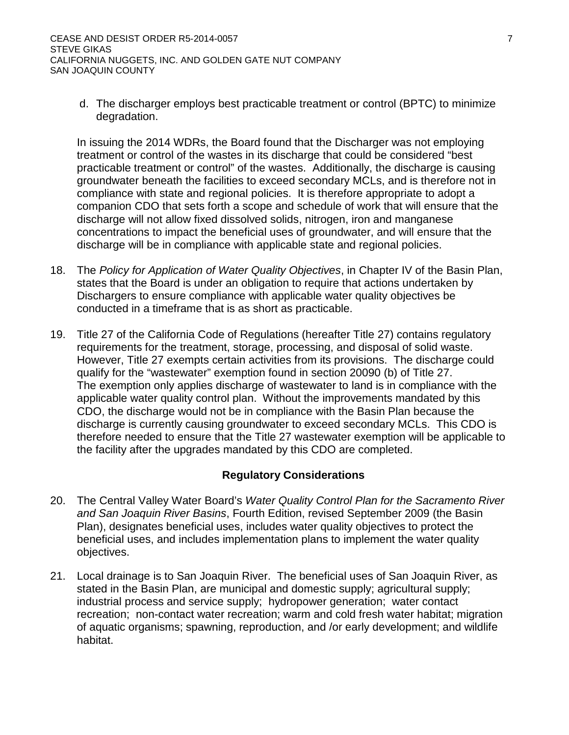d. The discharger employs best practicable treatment or control (BPTC) to minimize degradation.

In issuing the 2014 WDRs, the Board found that the Discharger was not employing treatment or control of the wastes in its discharge that could be considered "best practicable treatment or control" of the wastes. Additionally, the discharge is causing groundwater beneath the facilities to exceed secondary MCLs, and is therefore not in compliance with state and regional policies. It is therefore appropriate to adopt a companion CDO that sets forth a scope and schedule of work that will ensure that the discharge will not allow fixed dissolved solids, nitrogen, iron and manganese concentrations to impact the beneficial uses of groundwater, and will ensure that the discharge will be in compliance with applicable state and regional policies.

- 18. The *Policy for Application of Water Quality Objectives*, in Chapter IV of the Basin Plan, states that the Board is under an obligation to require that actions undertaken by Dischargers to ensure compliance with applicable water quality objectives be conducted in a timeframe that is as short as practicable.
- 19. Title 27 of the California Code of Regulations (hereafter Title 27) contains regulatory requirements for the treatment, storage, processing, and disposal of solid waste. However, Title 27 exempts certain activities from its provisions. The discharge could qualify for the "wastewater" exemption found in section 20090 (b) of Title 27. The exemption only applies discharge of wastewater to land is in compliance with the applicable water quality control plan. Without the improvements mandated by this CDO, the discharge would not be in compliance with the Basin Plan because the discharge is currently causing groundwater to exceed secondary MCLs. This CDO is therefore needed to ensure that the Title 27 wastewater exemption will be applicable to the facility after the upgrades mandated by this CDO are completed.

## **Regulatory Considerations**

- 20. The Central Valley Water Board's *Water Quality Control Plan for the Sacramento River and San Joaquin River Basins*, Fourth Edition, revised September 2009 (the Basin Plan), designates beneficial uses, includes water quality objectives to protect the beneficial uses, and includes implementation plans to implement the water quality objectives.
- 21. Local drainage is to San Joaquin River. The beneficial uses of San Joaquin River, as stated in the Basin Plan, are municipal and domestic supply; agricultural supply; industrial process and service supply; hydropower generation; water contact recreation; non-contact water recreation; warm and cold fresh water habitat; migration of aquatic organisms; spawning, reproduction, and /or early development; and wildlife habitat.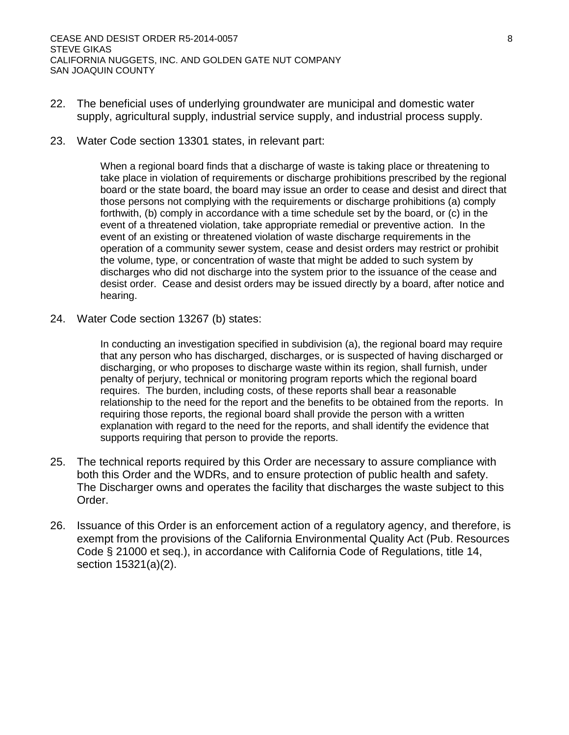- 22. The beneficial uses of underlying groundwater are municipal and domestic water supply, agricultural supply, industrial service supply, and industrial process supply.
- 23. Water Code section 13301 states, in relevant part:

When a regional board finds that a discharge of waste is taking place or threatening to take place in violation of requirements or discharge prohibitions prescribed by the regional board or the state board, the board may issue an order to cease and desist and direct that those persons not complying with the requirements or discharge prohibitions (a) comply forthwith, (b) comply in accordance with a time schedule set by the board, or (c) in the event of a threatened violation, take appropriate remedial or preventive action. In the event of an existing or threatened violation of waste discharge requirements in the operation of a community sewer system, cease and desist orders may restrict or prohibit the volume, type, or concentration of waste that might be added to such system by discharges who did not discharge into the system prior to the issuance of the cease and desist order. Cease and desist orders may be issued directly by a board, after notice and hearing.

24. Water Code section 13267 (b) states:

In conducting an investigation specified in subdivision (a), the regional board may require that any person who has discharged, discharges, or is suspected of having discharged or discharging, or who proposes to discharge waste within its region, shall furnish, under penalty of perjury, technical or monitoring program reports which the regional board requires. The burden, including costs, of these reports shall bear a reasonable relationship to the need for the report and the benefits to be obtained from the reports. In requiring those reports, the regional board shall provide the person with a written explanation with regard to the need for the reports, and shall identify the evidence that supports requiring that person to provide the reports.

- 25. The technical reports required by this Order are necessary to assure compliance with both this Order and the WDRs, and to ensure protection of public health and safety. The Discharger owns and operates the facility that discharges the waste subject to this Order.
- 26. Issuance of this Order is an enforcement action of a regulatory agency, and therefore, is exempt from the provisions of the California Environmental Quality Act (Pub. Resources Code § 21000 et seq.), in accordance with California Code of Regulations, title 14, section 15321(a)(2).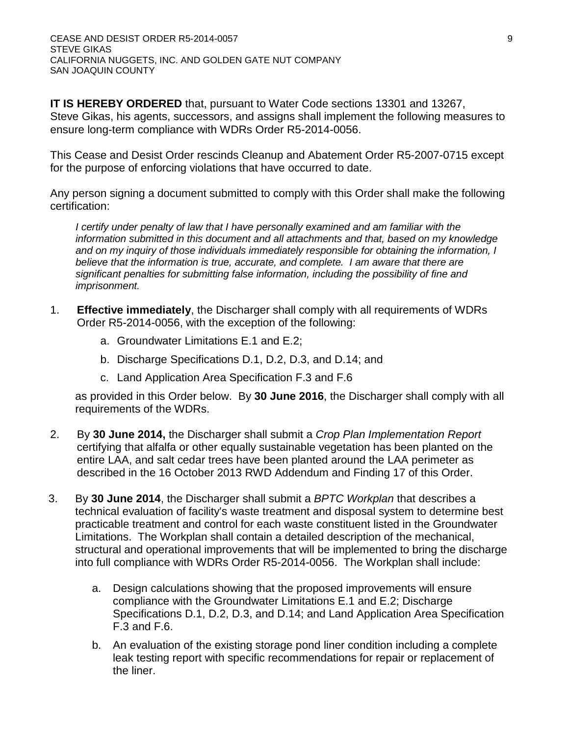**IT IS HEREBY ORDERED** that, pursuant to Water Code sections 13301 and 13267, Steve Gikas, his agents, successors, and assigns shall implement the following measures to ensure long-term compliance with WDRs Order R5-2014-0056.

This Cease and Desist Order rescinds Cleanup and Abatement Order R5-2007-0715 except for the purpose of enforcing violations that have occurred to date.

Any person signing a document submitted to comply with this Order shall make the following certification:

*I* certify under penalty of law that I have personally examined and am familiar with the *information submitted in this document and all attachments and that, based on my knowledge and on my inquiry of those individuals immediately responsible for obtaining the information, I believe that the information is true, accurate, and complete. I am aware that there are significant penalties for submitting false information, including the possibility of fine and imprisonment.*

- 1. **Effective immediately**, the Discharger shall comply with all requirements of WDRs Order R5-2014-0056, with the exception of the following:
	- a. Groundwater Limitations E.1 and E.2;
	- b. Discharge Specifications D.1, D.2, D.3, and D.14; and
	- c. Land Application Area Specification F.3 and F.6

as provided in this Order below. By **30 June 2016**, the Discharger shall comply with all requirements of the WDRs.

- 2. By **30 June 2014,** the Discharger shall submit a *Crop Plan Implementation Report* certifying that alfalfa or other equally sustainable vegetation has been planted on the entire LAA, and salt cedar trees have been planted around the LAA perimeter as described in the 16 October 2013 RWD Addendum and Finding 17 of this Order.
- 3. By **30 June 2014**, the Discharger shall submit a *BPTC Workplan* that describes a technical evaluation of facility's waste treatment and disposal system to determine best practicable treatment and control for each waste constituent listed in the Groundwater Limitations. The Workplan shall contain a detailed description of the mechanical, structural and operational improvements that will be implemented to bring the discharge into full compliance with WDRs Order R5-2014-0056. The Workplan shall include:
	- a. Design calculations showing that the proposed improvements will ensure compliance with the Groundwater Limitations E.1 and E.2; Discharge Specifications D.1, D.2, D.3, and D.14; and Land Application Area Specification F.3 and F.6.
	- b. An evaluation of the existing storage pond liner condition including a complete leak testing report with specific recommendations for repair or replacement of the liner.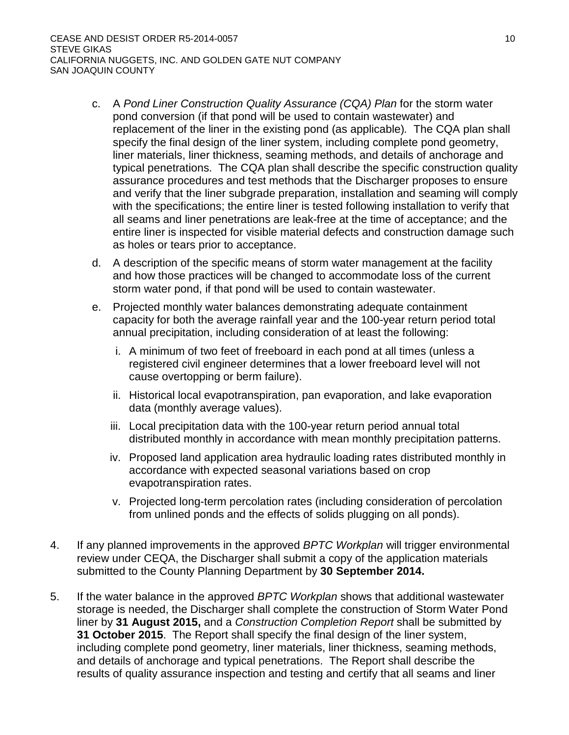- c. A *Pond Liner Construction Quality Assurance (CQA) Plan* for the storm water pond conversion (if that pond will be used to contain wastewater) and replacement of the liner in the existing pond (as applicable)*.* The CQA plan shall specify the final design of the liner system, including complete pond geometry, liner materials, liner thickness, seaming methods, and details of anchorage and typical penetrations. The CQA plan shall describe the specific construction quality assurance procedures and test methods that the Discharger proposes to ensure and verify that the liner subgrade preparation, installation and seaming will comply with the specifications; the entire liner is tested following installation to verify that all seams and liner penetrations are leak-free at the time of acceptance; and the entire liner is inspected for visible material defects and construction damage such as holes or tears prior to acceptance.
- d. A description of the specific means of storm water management at the facility and how those practices will be changed to accommodate loss of the current storm water pond, if that pond will be used to contain wastewater.
- e. Projected monthly water balances demonstrating adequate containment capacity for both the average rainfall year and the 100-year return period total annual precipitation, including consideration of at least the following:
	- i. A minimum of two feet of freeboard in each pond at all times (unless a registered civil engineer determines that a lower freeboard level will not cause overtopping or berm failure).
	- ii. Historical local evapotranspiration, pan evaporation, and lake evaporation data (monthly average values).
	- iii. Local precipitation data with the 100-year return period annual total distributed monthly in accordance with mean monthly precipitation patterns.
	- iv. Proposed land application area hydraulic loading rates distributed monthly in accordance with expected seasonal variations based on crop evapotranspiration rates.
	- v. Projected long-term percolation rates (including consideration of percolation from unlined ponds and the effects of solids plugging on all ponds).
- 4. If any planned improvements in the approved *BPTC Workplan* will trigger environmental review under CEQA, the Discharger shall submit a copy of the application materials submitted to the County Planning Department by **30 September 2014.**
- 5. If the water balance in the approved *BPTC Workplan* shows that additional wastewater storage is needed, the Discharger shall complete the construction of Storm Water Pond liner by **31 August 2015,** and a *Construction Completion Report* shall be submitted by **31 October 2015**. The Report shall specify the final design of the liner system, including complete pond geometry, liner materials, liner thickness, seaming methods, and details of anchorage and typical penetrations. The Report shall describe the results of quality assurance inspection and testing and certify that all seams and liner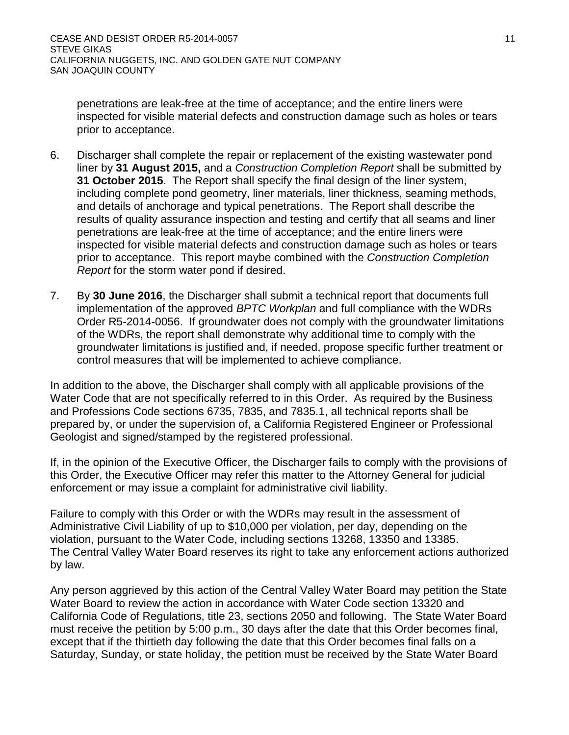penetrations are leak-free at the time of acceptance; and the entire liners were inspected for visible material defects and construction damage such as holes or tears prior to acceptance.

- 6. Discharger shall complete the repair or replacement of the existing wastewater pond liner by **31 August 2015,** and a *Construction Completion Report* shall be submitted by **31 October 2015**. The Report shall specify the final design of the liner system, including complete pond geometry, liner materials, liner thickness, seaming methods, and details of anchorage and typical penetrations. The Report shall describe the results of quality assurance inspection and testing and certify that all seams and liner penetrations are leak-free at the time of acceptance; and the entire liners were inspected for visible material defects and construction damage such as holes or tears prior to acceptance. This report maybe combined with the *Construction Completion Report* for the storm water pond if desired.
- 7. By **30 June 2016**, the Discharger shall submit a technical report that documents full implementation of the approved *BPTC Workplan* and full compliance with the WDRs Order R5-2014-0056. If groundwater does not comply with the groundwater limitations of the WDRs, the report shall demonstrate why additional time to comply with the groundwater limitations is justified and, if needed, propose specific further treatment or control measures that will be implemented to achieve compliance.

In addition to the above, the Discharger shall comply with all applicable provisions of the Water Code that are not specifically referred to in this Order. As required by the Business and Professions Code sections 6735, 7835, and 7835.1, all technical reports shall be prepared by, or under the supervision of, a California Registered Engineer or Professional Geologist and signed/stamped by the registered professional.

If, in the opinion of the Executive Officer, the Discharger fails to comply with the provisions of this Order, the Executive Officer may refer this matter to the Attorney General for judicial enforcement or may issue a complaint for administrative civil liability.

Failure to comply with this Order or with the WDRs may result in the assessment of Administrative Civil Liability of up to \$10,000 per violation, per day, depending on the violation, pursuant to the Water Code, including sections 13268, 13350 and 13385. The Central Valley Water Board reserves its right to take any enforcement actions authorized by law.

Any person aggrieved by this action of the Central Valley Water Board may petition the State Water Board to review the action in accordance with Water Code section 13320 and California Code of Regulations, title 23, sections 2050 and following. The State Water Board must receive the petition by 5:00 p.m., 30 days after the date that this Order becomes final, except that if the thirtieth day following the date that this Order becomes final falls on a Saturday, Sunday, or state holiday, the petition must be received by the State Water Board